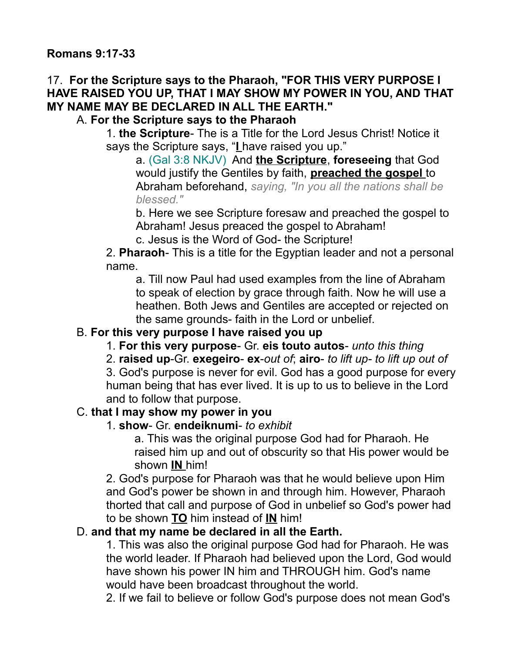## 17. **For the Scripture says to the Pharaoh, "FOR THIS VERY PURPOSE I HAVE RAISED YOU UP, THAT I MAY SHOW MY POWER IN YOU, AND THAT MY NAME MAY BE DECLARED IN ALL THE EARTH."**

A. **For the Scripture says to the Pharaoh**

1. **the Scripture**- The is a Title for the Lord Jesus Christ! Notice it says the Scripture says, "**I** have raised you up."

a. (Gal 3:8 NKJV) And **the Scripture**, **foreseeing** that God would justify the Gentiles by faith, **preached the gospel** to Abraham beforehand, *saying, "In you all the nations shall be blessed."*

b. Here we see Scripture foresaw and preached the gospel to Abraham! Jesus preaced the gospel to Abraham!

c. Jesus is the Word of God- the Scripture!

2. **Pharaoh**- This is a title for the Egyptian leader and not a personal name.

a. Till now Paul had used examples from the line of Abraham to speak of election by grace through faith. Now he will use a heathen. Both Jews and Gentiles are accepted or rejected on the same grounds- faith in the Lord or unbelief.

## B. **For this very purpose I have raised you up**

1. **For this very purpose**- Gr. **eis touto autos**- *unto this thing*

2. **raised up**-Gr. **exegeiro**- **ex**-*out of*; **airo**- *to lift up- to lift up out of*

3. God's purpose is never for evil. God has a good purpose for every human being that has ever lived. It is up to us to believe in the Lord and to follow that purpose.

#### C. **that I may show my power in you**

#### 1. **show**- Gr. **endeiknumi**- *to exhibit*

a. This was the original purpose God had for Pharaoh. He raised him up and out of obscurity so that His power would be shown **IN** him!

2. God's purpose for Pharaoh was that he would believe upon Him and God's power be shown in and through him. However, Pharaoh thorted that call and purpose of God in unbelief so God's power had to be shown **TO** him instead of **IN** him!

### D. **and that my name be declared in all the Earth.**

1. This was also the original purpose God had for Pharaoh. He was the world leader. If Pharaoh had believed upon the Lord, God would have shown his power IN him and THROUGH him. God's name would have been broadcast throughout the world.

2. If we fail to believe or follow God's purpose does not mean God's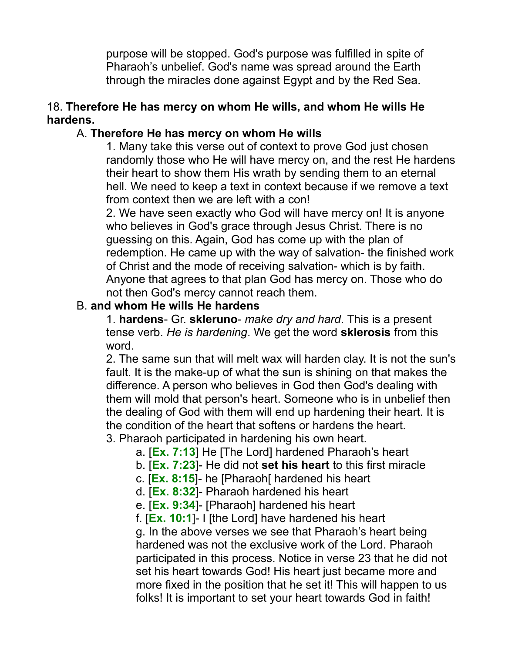purpose will be stopped. God's purpose was fulfilled in spite of Pharaoh's unbelief. God's name was spread around the Earth through the miracles done against Egypt and by the Red Sea.

#### 18. **Therefore He has mercy on whom He wills, and whom He wills He hardens.**

### A. **Therefore He has mercy on whom He wills**

1. Many take this verse out of context to prove God just chosen randomly those who He will have mercy on, and the rest He hardens their heart to show them His wrath by sending them to an eternal hell. We need to keep a text in context because if we remove a text from context then we are left with a con!

2. We have seen exactly who God will have mercy on! It is anyone who believes in God's grace through Jesus Christ. There is no guessing on this. Again, God has come up with the plan of redemption. He came up with the way of salvation- the finished work of Christ and the mode of receiving salvation- which is by faith. Anyone that agrees to that plan God has mercy on. Those who do not then God's mercy cannot reach them.

#### B. **and whom He wills He hardens**

1. **hardens**- Gr. **skleruno**- *make dry and hard*. This is a present tense verb. *He is hardening*. We get the word **sklerosis** from this word.

2. The same sun that will melt wax will harden clay. It is not the sun's fault. It is the make-up of what the sun is shining on that makes the difference. A person who believes in God then God's dealing with them will mold that person's heart. Someone who is in unbelief then the dealing of God with them will end up hardening their heart. It is the condition of the heart that softens or hardens the heart. 3. Pharaoh participated in hardening his own heart.

a. [**Ex. 7:13**] He [The Lord] hardened Pharaoh's heart

- b. [**Ex. 7:23**]- He did not **set his heart** to this first miracle
- c. [**Ex. 8:15**]- he [Pharaoh[ hardened his heart
- d. [**Ex. 8:32**]- Pharaoh hardened his heart
- e. [**Ex. 9:34**]- [Pharaoh] hardened his heart

f. [**Ex. 10:1**]- I [the Lord] have hardened his heart

g. In the above verses we see that Pharaoh's heart being hardened was not the exclusive work of the Lord. Pharaoh participated in this process. Notice in verse 23 that he did not set his heart towards God! His heart just became more and more fixed in the position that he set it! This will happen to us folks! It is important to set your heart towards God in faith!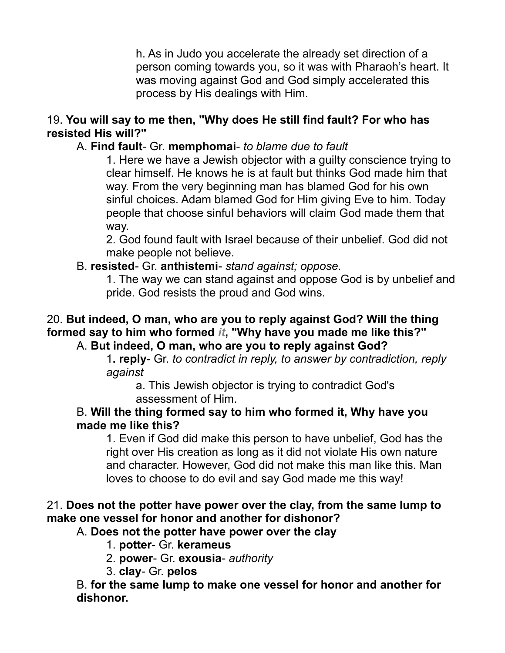h. As in Judo you accelerate the already set direction of a person coming towards you, so it was with Pharaoh's heart. It was moving against God and God simply accelerated this process by His dealings with Him.

## 19. **You will say to me then, "Why does He still find fault? For who has resisted His will?"**

### A. **Find fault**- Gr. **memphomai**- *to blame due to fault*

1. Here we have a Jewish objector with a guilty conscience trying to clear himself. He knows he is at fault but thinks God made him that way. From the very beginning man has blamed God for his own sinful choices. Adam blamed God for Him giving Eve to him. Today people that choose sinful behaviors will claim God made them that way.

2. God found fault with Israel because of their unbelief. God did not make people not believe.

#### B. **resisted**- Gr. **anthistemi**- *stand against; oppose.*

1. The way we can stand against and oppose God is by unbelief and pride. God resists the proud and God wins.

# 20. **But indeed, O man, who are you to reply against God? Will the thing formed say to him who formed** *it***, "Why have you made me like this?"**

## A. **But indeed, O man, who are you to reply against God?**

1**. reply**- Gr. *to contradict in reply, to answer by contradiction, reply against*

a. This Jewish objector is trying to contradict God's assessment of Him.

#### B. **Will the thing formed say to him who formed it, Why have you made me like this?**

1. Even if God did make this person to have unbelief, God has the right over His creation as long as it did not violate His own nature and character. However, God did not make this man like this. Man loves to choose to do evil and say God made me this way!

## 21. **Does not the potter have power over the clay, from the same lump to make one vessel for honor and another for dishonor?**

## A. **Does not the potter have power over the clay**

- 1. **potter** Gr. **kerameus**
- 2. **power** Gr. **exousia** *authority*
- 3. **clay** Gr. **pelos**

B. **for the same lump to make one vessel for honor and another for dishonor.**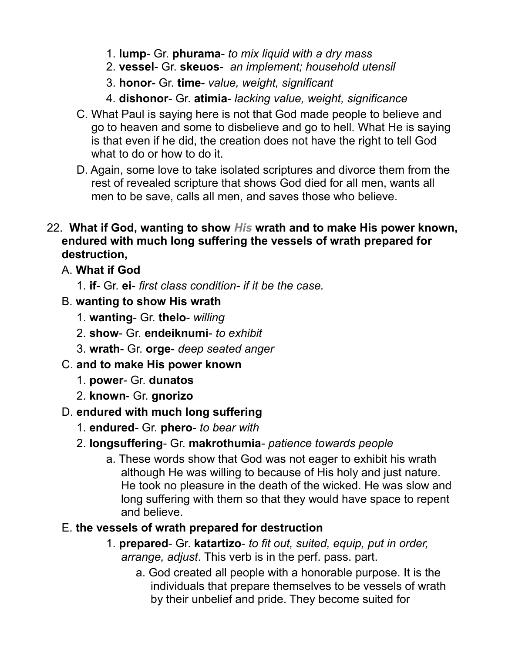- 1. **lump** Gr. **phurama** *to mix liquid with a dry mass*
- 2. **vessel** Gr. **skeuos** *an implement; household utensil*
- 3. **honor** Gr. **time** *value, weight, significant*
- 4. **dishonor** Gr. **atimia** *lacking value, weight, significance*
- C. What Paul is saying here is not that God made people to believe and go to heaven and some to disbelieve and go to hell. What He is saying is that even if he did, the creation does not have the right to tell God what to do or how to do it.
- D. Again, some love to take isolated scriptures and divorce them from the rest of revealed scripture that shows God died for all men, wants all men to be save, calls all men, and saves those who believe.
- 22. **What if God, wanting to show** *His* **wrath and to make His power known, endured with much long suffering the vessels of wrath prepared for destruction,** 
	- A. **What if God**
		- 1. **if** Gr. **ei** *first class condition- if it be the case.*
	- B. **wanting to show His wrath**
		- 1. **wanting** Gr. **thelo** *willing*
		- 2. **show** Gr. **endeiknumi** *to exhibit*
		- 3. **wrath** Gr. **orge** *deep seated anger*
	- C. **and to make His power known**
		- 1. **power** Gr. **dunatos**
		- 2. **known** Gr. **gnorizo**

# D. **endured with much long suffering**

- 1. **endured** Gr. **phero** *to bear with*
- 2. **longsuffering** Gr. **makrothumia** *patience towards people*
	- a. These words show that God was not eager to exhibit his wrath although He was willing to because of His holy and just nature. He took no pleasure in the death of the wicked. He was slow and long suffering with them so that they would have space to repent and believe.

## E. **the vessels of wrath prepared for destruction**

- 1. **prepared** Gr. **katartizo** *to fit out, suited, equip, put in order, arrange, adjust*. This verb is in the perf. pass. part.
	- a. God created all people with a honorable purpose. It is the individuals that prepare themselves to be vessels of wrath by their unbelief and pride. They become suited for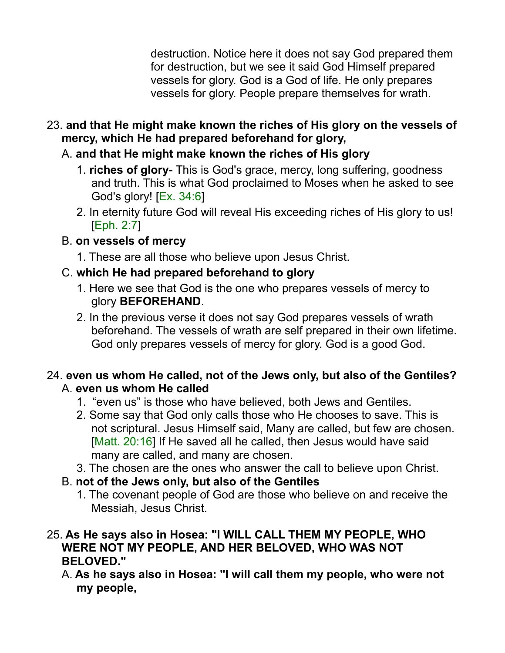destruction. Notice here it does not say God prepared them for destruction, but we see it said God Himself prepared vessels for glory. God is a God of life. He only prepares vessels for glory. People prepare themselves for wrath.

- 23. **and that He might make known the riches of His glory on the vessels of mercy, which He had prepared beforehand for glory,**
	- A. **and that He might make known the riches of His glory**
		- 1. **riches of glory** This is God's grace, mercy, long suffering, goodness and truth. This is what God proclaimed to Moses when he asked to see God's glory! [Ex. 34:6]
		- 2. In eternity future God will reveal His exceeding riches of His glory to us! [Eph. 2:7]
	- B. **on vessels of mercy**
		- 1. These are all those who believe upon Jesus Christ.

## C. **which He had prepared beforehand to glory**

- 1. Here we see that God is the one who prepares vessels of mercy to glory **BEFOREHAND**.
- 2. In the previous verse it does not say God prepares vessels of wrath beforehand. The vessels of wrath are self prepared in their own lifetime. God only prepares vessels of mercy for glory. God is a good God.

## 24. **even us whom He called, not of the Jews only, but also of the Gentiles?** A. **even us whom He called**

- 1. "even us" is those who have believed, both Jews and Gentiles.
- 2. Some say that God only calls those who He chooses to save. This is not scriptural. Jesus Himself said, Many are called, but few are chosen. [Matt. 20:16] If He saved all he called, then Jesus would have said many are called, and many are chosen.
- 3. The chosen are the ones who answer the call to believe upon Christ.
- B. **not of the Jews only, but also of the Gentiles**
	- 1. The covenant people of God are those who believe on and receive the Messiah, Jesus Christ.

## 25. **As He says also in Hosea: "I WILL CALL THEM MY PEOPLE, WHO WERE NOT MY PEOPLE, AND HER BELOVED, WHO WAS NOT BELOVED."**

A. **As he says also in Hosea: "I will call them my people, who were not my people,**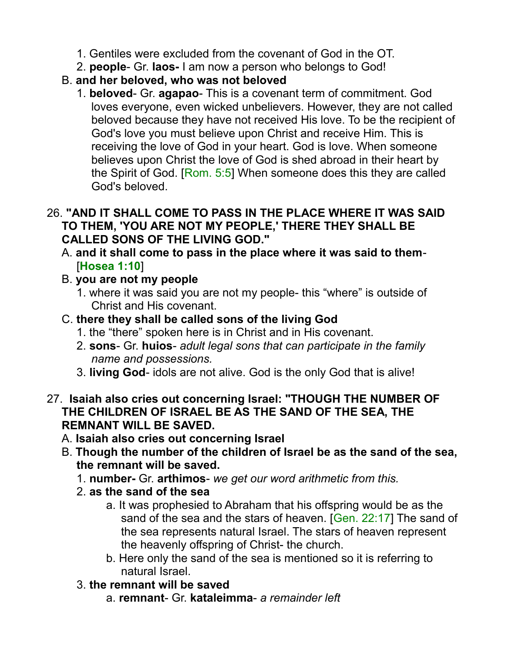- 1. Gentiles were excluded from the covenant of God in the OT.
- 2. **people** Gr. **laos-** I am now a person who belongs to God!
- B. **and her beloved, who was not beloved**
	- 1. **beloved** Gr. **agapao** This is a covenant term of commitment. God loves everyone, even wicked unbelievers. However, they are not called beloved because they have not received His love. To be the recipient of God's love you must believe upon Christ and receive Him. This is receiving the love of God in your heart. God is love. When someone believes upon Christ the love of God is shed abroad in their heart by the Spirit of God. [Rom. 5:5] When someone does this they are called God's beloved.

### 26. **"AND IT SHALL COME TO PASS IN THE PLACE WHERE IT WAS SAID TO THEM, 'YOU ARE NOT MY PEOPLE,' THERE THEY SHALL BE CALLED SONS OF THE LIVING GOD."**

- A. **and it shall come to pass in the place where it was said to them** [**Hosea 1:10**]
- B. **you are not my people**
	- 1. where it was said you are not my people- this "where" is outside of Christ and His covenant.
- C. **there they shall be called sons of the living God**
	- 1. the "there" spoken here is in Christ and in His covenant.
	- 2. **sons** Gr. **huios** *adult legal sons that can participate in the family name and possessions.*
	- 3. **living God** idols are not alive. God is the only God that is alive!
- 27. **Isaiah also cries out concerning Israel: "THOUGH THE NUMBER OF THE CHILDREN OF ISRAEL BE AS THE SAND OF THE SEA, THE REMNANT WILL BE SAVED.**
	- A. **Isaiah also cries out concerning Israel**
	- B. **Though the number of the children of Israel be as the sand of the sea, the remnant will be saved.**
		- 1. **number-** Gr. **arthimos** *we get our word arithmetic from this.*
		- 2. **as the sand of the sea**
			- a. It was prophesied to Abraham that his offspring would be as the sand of the sea and the stars of heaven. [Gen. 22:17] The sand of the sea represents natural Israel. The stars of heaven represent the heavenly offspring of Christ- the church.
			- b. Here only the sand of the sea is mentioned so it is referring to natural Israel.
		- 3. **the remnant will be saved**
			- a. **remnant** Gr. **kataleimma** *a remainder left*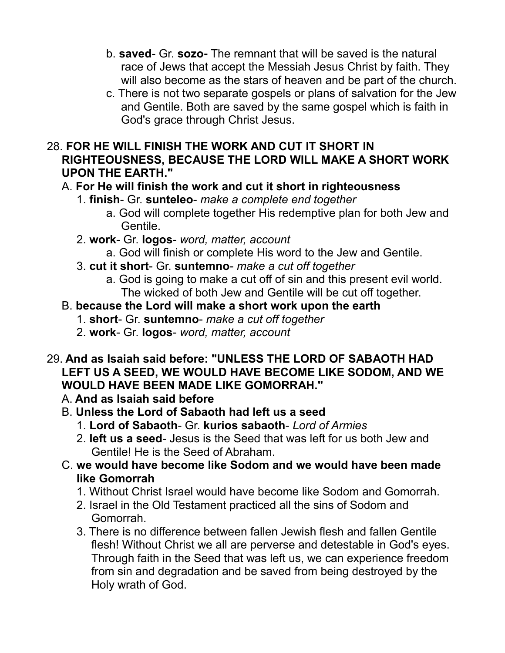- b. **saved** Gr. **sozo-** The remnant that will be saved is the natural race of Jews that accept the Messiah Jesus Christ by faith. They will also become as the stars of heaven and be part of the church.
- c. There is not two separate gospels or plans of salvation for the Jew and Gentile. Both are saved by the same gospel which is faith in God's grace through Christ Jesus.

## 28. **FOR HE WILL FINISH THE WORK AND CUT IT SHORT IN RIGHTEOUSNESS, BECAUSE THE LORD WILL MAKE A SHORT WORK UPON THE EARTH."**

## A. **For He will finish the work and cut it short in righteousness**

- 1. **finish** Gr. **sunteleo** *make a complete end together*
	- a. God will complete together His redemptive plan for both Jew and Gentile.
- 2. **work** Gr. **logos** *word, matter, account*
	- a. God will finish or complete His word to the Jew and Gentile.
- 3. **cut it short** Gr. **suntemno** *make a cut off together*
	- a. God is going to make a cut off of sin and this present evil world. The wicked of both Jew and Gentile will be cut off together.

# B. **because the Lord will make a short work upon the earth**

- 1. **short** Gr. **suntemno** *make a cut off together*
- 2. **work** Gr. **logos** *word, matter, account*

## 29. **And as Isaiah said before: "UNLESS THE LORD OF SABAOTH HAD LEFT US A SEED, WE WOULD HAVE BECOME LIKE SODOM, AND WE WOULD HAVE BEEN MADE LIKE GOMORRAH."**

- A. **And as Isaiah said before**
- B. **Unless the Lord of Sabaoth had left us a seed**
	- 1. **Lord of Sabaoth** Gr. **kurios sabaoth** *Lord of Armies*
	- 2. **left us a seed** Jesus is the Seed that was left for us both Jew and Gentile! He is the Seed of Abraham.
- C. **we would have become like Sodom and we would have been made like Gomorrah**
	- 1. Without Christ Israel would have become like Sodom and Gomorrah.
	- 2. Israel in the Old Testament practiced all the sins of Sodom and Gomorrah.
	- 3. There is no difference between fallen Jewish flesh and fallen Gentile flesh! Without Christ we all are perverse and detestable in God's eyes. Through faith in the Seed that was left us, we can experience freedom from sin and degradation and be saved from being destroyed by the Holy wrath of God.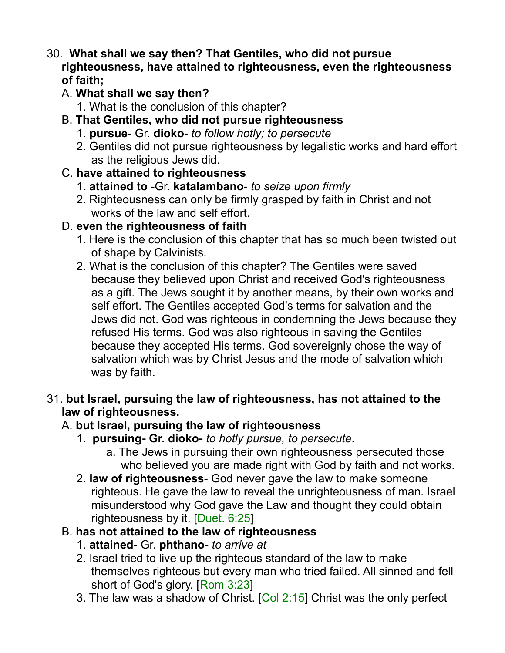- 30. **What shall we say then? That Gentiles, who did not pursue righteousness, have attained to righteousness, even the righteousness of faith;** 
	- A. **What shall we say then?**
		- 1. What is the conclusion of this chapter?
	- B. **That Gentiles, who did not pursue righteousness**
		- 1. **pursue** Gr. **dioko** *to follow hotly; to persecute*
		- 2. Gentiles did not pursue righteousness by legalistic works and hard effort as the religious Jews did.
	- C. **have attained to righteousness**
		- 1. **attained to** -Gr. **katalambano** *to seize upon firmly*
		- 2. Righteousness can only be firmly grasped by faith in Christ and not works of the law and self effort.
	- D. **even the righteousness of faith**
		- 1. Here is the conclusion of this chapter that has so much been twisted out of shape by Calvinists.
		- 2. What is the conclusion of this chapter? The Gentiles were saved because they believed upon Christ and received God's righteousness as a gift. The Jews sought it by another means, by their own works and self effort. The Gentiles accepted God's terms for salvation and the Jews did not. God was righteous in condemning the Jews because they refused His terms. God was also righteous in saving the Gentiles because they accepted His terms. God sovereignly chose the way of salvation which was by Christ Jesus and the mode of salvation which was by faith.
- 31. **but Israel, pursuing the law of righteousness, has not attained to the law of righteousness.**

# A. **but Israel, pursuing the law of righteousness**

- 1. **pursuing- Gr. dioko-** *to hotly pursue, to persecute***.**
	- a. The Jews in pursuing their own righteousness persecuted those who believed you are made right with God by faith and not works.
- 2**. law of righteousness** God never gave the law to make someone righteous. He gave the law to reveal the unrighteousness of man. Israel misunderstood why God gave the Law and thought they could obtain righteousness by it. [Duet. 6:25]
- B. **has not attained to the law of righteousness**
	- 1. **attained** Gr. **phthano** *to arrive at*
	- 2. Israel tried to live up the righteous standard of the law to make themselves righteous but every man who tried failed. All sinned and fell short of God's glory. [Rom 3:23]
	- 3. The law was a shadow of Christ. [Col 2:15] Christ was the only perfect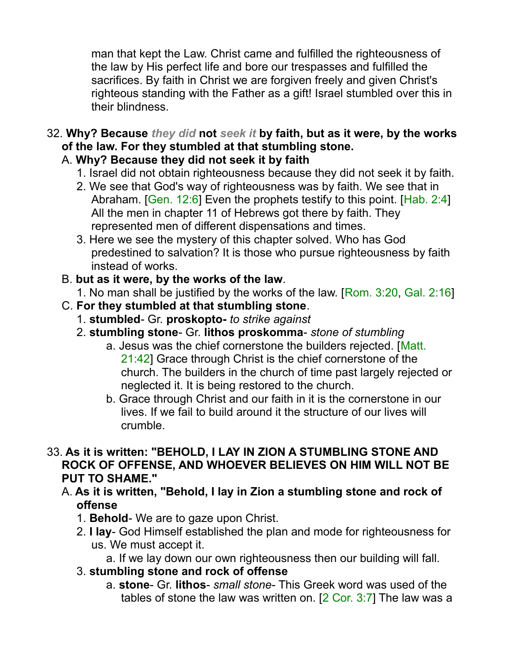man that kept the Law. Christ came and fulfilled the righteousness of the law by His perfect life and bore our trespasses and fulfilled the sacrifices. By faith in Christ we are forgiven freely and given Christ's righteous standing with the Father as a gift! Israel stumbled over this in their blindness.

32. **Why? Because** *they did* **not** *seek it* **by faith, but as it were, by the works of the law. For they stumbled at that stumbling stone.**

## A. **Why? Because they did not seek it by faith**

- 1. Israel did not obtain righteousness because they did not seek it by faith.
- 2. We see that God's way of righteousness was by faith. We see that in Abraham. [Gen. 12:6] Even the prophets testify to this point. [Hab. 2:4] All the men in chapter 11 of Hebrews got there by faith. They represented men of different dispensations and times.
- 3. Here we see the mystery of this chapter solved. Who has God predestined to salvation? It is those who pursue righteousness by faith instead of works.
- B. **but as it were, by the works of the law**.
	- 1. No man shall be justified by the works of the law. [Rom. 3:20, Gal. 2:16]
- C. **For they stumbled at that stumbling stone**.
	- 1. **stumbled** Gr. **proskopto-** *to strike against*
	- 2. **stumbling stone** Gr. **lithos proskomma** *stone of stumbling*
		- a. Jesus was the chief cornerstone the builders rejected. [Matt. 21:42] Grace through Christ is the chief cornerstone of the church. The builders in the church of time past largely rejected or neglected it. It is being restored to the church.
		- b. Grace through Christ and our faith in it is the cornerstone in our lives. If we fail to build around it the structure of our lives will crumble.
- 33. **As it is written: "BEHOLD, I LAY IN ZION A STUMBLING STONE AND ROCK OF OFFENSE, AND WHOEVER BELIEVES ON HIM WILL NOT BE PUT TO SHAME."**
	- A. **As it is written, "Behold, I lay in Zion a stumbling stone and rock of offense**
		- 1. **Behold** We are to gaze upon Christ.
		- 2. **I lay** God Himself established the plan and mode for righteousness for us. We must accept it.
			- a. If we lay down our own righteousness then our building will fall.
		- 3. **stumbling stone and rock of offense**
			- a. **stone** Gr. **lithos** *small stone* This Greek word was used of the tables of stone the law was written on. [2 Cor. 3:7] The law was a